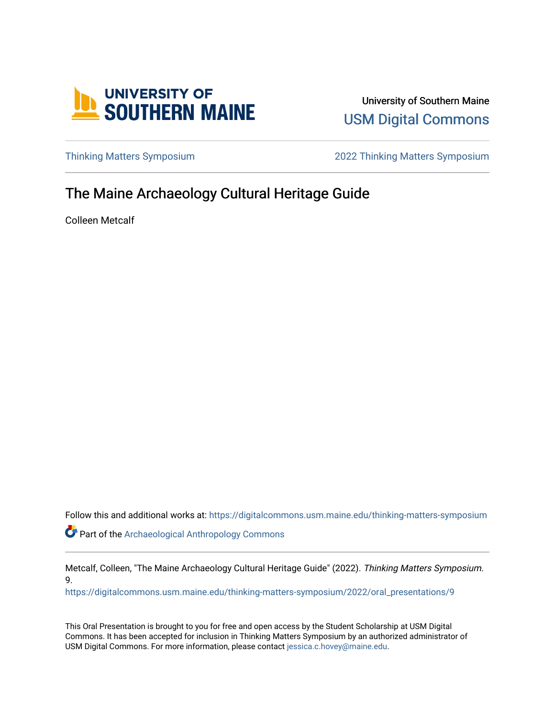

University of Southern Maine [USM Digital Commons](https://digitalcommons.usm.maine.edu/) 

[Thinking Matters Symposium](https://digitalcommons.usm.maine.edu/thinking-matters-symposium) [2022 Thinking Matters Symposium](https://digitalcommons.usm.maine.edu/thinking-matters-symposium/2022) 

### The Maine Archaeology Cultural Heritage Guide

Colleen Metcalf

Follow this and additional works at: [https://digitalcommons.usm.maine.edu/thinking-matters-symposium](https://digitalcommons.usm.maine.edu/thinking-matters-symposium?utm_source=digitalcommons.usm.maine.edu%2Fthinking-matters-symposium%2F2022%2Foral_presentations%2F9&utm_medium=PDF&utm_campaign=PDFCoverPages)  Part of the [Archaeological Anthropology Commons](http://network.bepress.com/hgg/discipline/319?utm_source=digitalcommons.usm.maine.edu%2Fthinking-matters-symposium%2F2022%2Foral_presentations%2F9&utm_medium=PDF&utm_campaign=PDFCoverPages)

Metcalf, Colleen, "The Maine Archaeology Cultural Heritage Guide" (2022). Thinking Matters Symposium. 9.

[https://digitalcommons.usm.maine.edu/thinking-matters-symposium/2022/oral\\_presentations/9](https://digitalcommons.usm.maine.edu/thinking-matters-symposium/2022/oral_presentations/9?utm_source=digitalcommons.usm.maine.edu%2Fthinking-matters-symposium%2F2022%2Foral_presentations%2F9&utm_medium=PDF&utm_campaign=PDFCoverPages) 

This Oral Presentation is brought to you for free and open access by the Student Scholarship at USM Digital Commons. It has been accepted for inclusion in Thinking Matters Symposium by an authorized administrator of USM Digital Commons. For more information, please contact [jessica.c.hovey@maine.edu](mailto:ian.fowler@maine.edu).